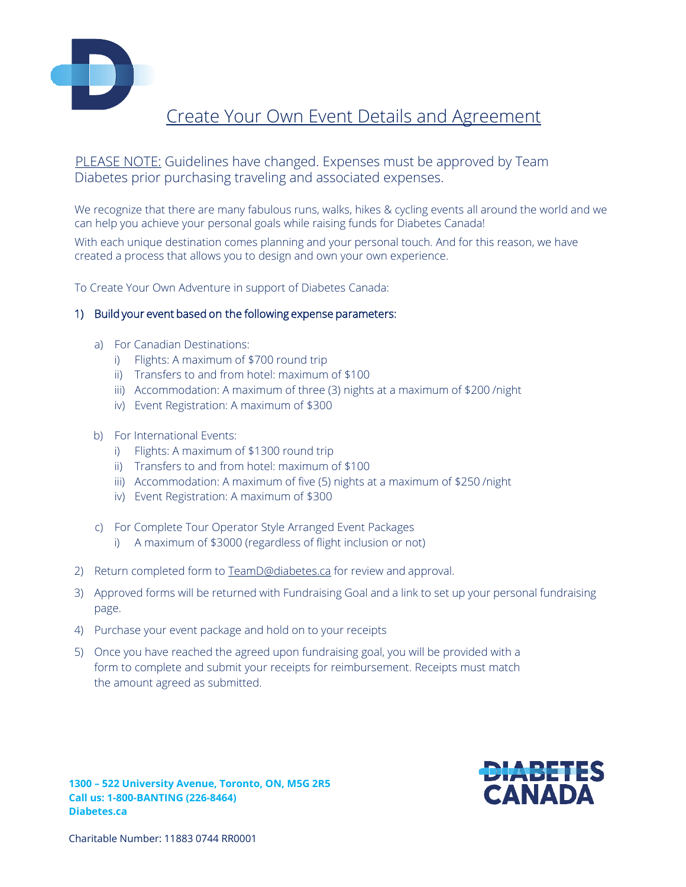

# Create Your Own Event Details and Agreement

## PLEASE NOTE: Guidelines have changed. Expenses must be approved by Team Diabetes prior purchasing traveling and associated expenses.

We recognize that there are many fabulous runs, walks, hikes & cycling events all around the world and we can help you achieve your personal goals while raising funds for Diabetes Canada!

With each unique destination comes planning and your personal touch. And for this reason, we have created a process that allows you to design and own your own experience.

To Create Your Own Adventure in support of Diabetes Canada:

#### 1) Build your event based on the following expense parameters:

- a) For Canadian Destinations:
	- i) Flights: A maximum of \$700 round trip
	- ii) Transfers to and from hotel: maximum of \$100
	- iii) Accommodation: A maximum of three (3) nights at a maximum of \$200 /night
	- iv) Event Registration: A maximum of \$300
- b) For International Events:
	- i) Flights: A maximum of \$1300 round trip
	- ii) Transfers to and from hotel: maximum of \$100
	- iii) Accommodation: A maximum of five (5) nights at a maximum of \$250 /night
	- iv) Event Registration: A maximum of \$300
- c) For Complete Tour Operator Style Arranged Event Packages
	- i) A maximum of \$3000 (regardless of flight inclusion or not)
- 2) Return completed form to [TeamD@diabetes.ca](mailto:TeamD@diabetes.ca) for review and approval.
- 3) Approved forms will be [returned with Fundraising](mailto:TeamD@diabetes.ca) Goal and a link to set up your personal fundraising page.
- 4) Purchase your event package and hold on to your receipts
- 5) Once you have reached the agreed upon fundraising goal, you will be provided with a form to complete and submit your receipts for reimbursement. Receipts must match the amount agreed as submitted.



**1300 – 522 University Avenue, Toronto, ON, M5G 2R5 Call us: 1-800-BANTING (226-8464) Diabetes.ca**

Charitable Number: 11883 0744 RR0001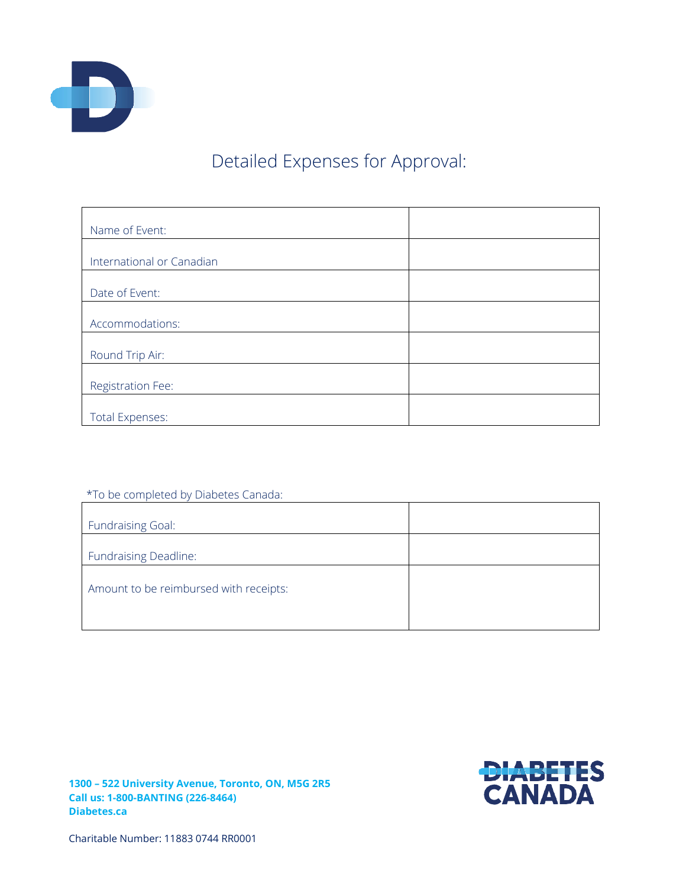

# Detailed Expenses for Approval:

| Name of Event:            |  |
|---------------------------|--|
|                           |  |
| International or Canadian |  |
|                           |  |
| Date of Event:            |  |
|                           |  |
| Accommodations:           |  |
|                           |  |
| Round Trip Air:           |  |
|                           |  |
| Registration Fee:         |  |
|                           |  |
| <b>Total Expenses:</b>    |  |

### \*To be completed by Diabetes Canada:

| <b>Fundraising Goal:</b>               |  |
|----------------------------------------|--|
| <b>Fundraising Deadline:</b>           |  |
| Amount to be reimbursed with receipts: |  |

**1300 – 522 University Avenue, Toronto, ON, M5G 2R5 Call us: 1-800-BANTING (226-8464) Diabetes.ca**



Charitable Number: 11883 0744 RR0001